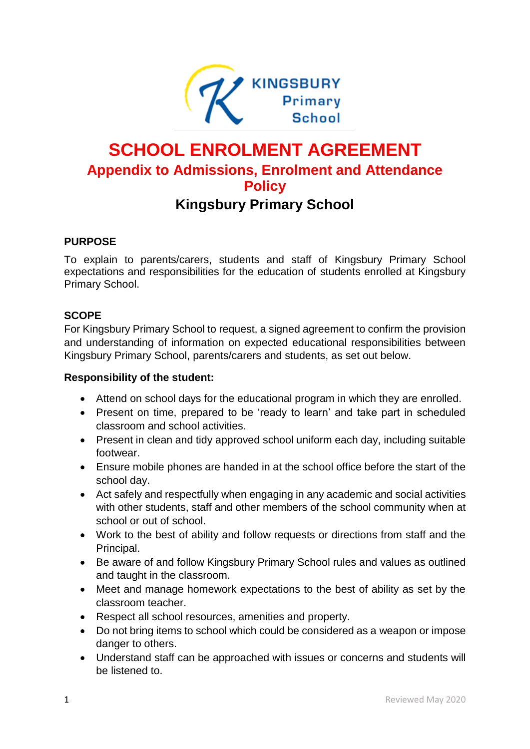

# **SCHOOL ENROLMENT AGREEMENT Appendix to Admissions, Enrolment and Attendance Policy Kingsbury Primary School**

### **PURPOSE**

To explain to parents/carers, students and staff of Kingsbury Primary School expectations and responsibilities for the education of students enrolled at Kingsbury Primary School.

### **SCOPE**

For Kingsbury Primary School to request, a signed agreement to confirm the provision and understanding of information on expected educational responsibilities between Kingsbury Primary School, parents/carers and students, as set out below.

#### **Responsibility of the student:**

- Attend on school days for the educational program in which they are enrolled.
- Present on time, prepared to be 'ready to learn' and take part in scheduled classroom and school activities.
- Present in clean and tidy approved school uniform each day, including suitable footwear.
- Ensure mobile phones are handed in at the school office before the start of the school day.
- Act safely and respectfully when engaging in any academic and social activities with other students, staff and other members of the school community when at school or out of school.
- Work to the best of ability and follow requests or directions from staff and the Principal.
- Be aware of and follow Kingsbury Primary School rules and values as outlined and taught in the classroom.
- Meet and manage homework expectations to the best of ability as set by the classroom teacher.
- Respect all school resources, amenities and property.
- Do not bring items to school which could be considered as a weapon or impose danger to others.
- Understand staff can be approached with issues or concerns and students will be listened to.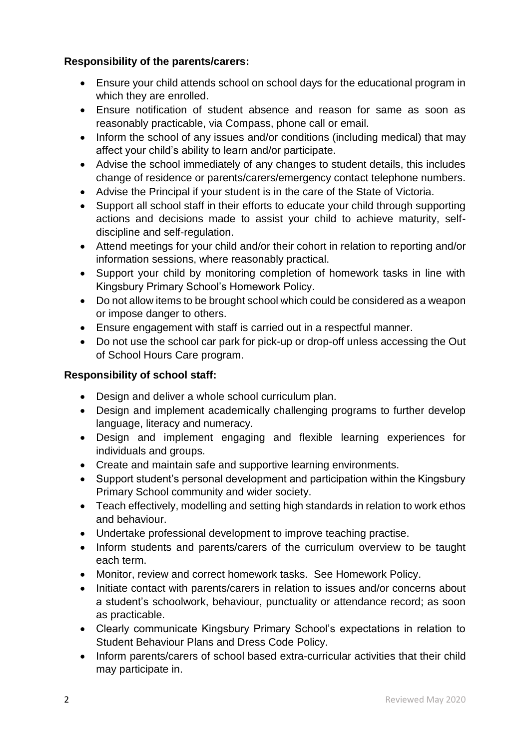## **Responsibility of the parents/carers:**

- Ensure your child attends school on school days for the educational program in which they are enrolled.
- Ensure notification of student absence and reason for same as soon as reasonably practicable, via Compass, phone call or email.
- Inform the school of any issues and/or conditions (including medical) that may affect your child's ability to learn and/or participate.
- Advise the school immediately of any changes to student details, this includes change of residence or parents/carers/emergency contact telephone numbers.
- Advise the Principal if your student is in the care of the State of Victoria.
- Support all school staff in their efforts to educate your child through supporting actions and decisions made to assist your child to achieve maturity, selfdiscipline and self-regulation.
- Attend meetings for your child and/or their cohort in relation to reporting and/or information sessions, where reasonably practical.
- Support your child by monitoring completion of homework tasks in line with Kingsbury Primary School's Homework Policy.
- Do not allow items to be brought school which could be considered as a weapon or impose danger to others.
- Ensure engagement with staff is carried out in a respectful manner.
- Do not use the school car park for pick-up or drop-off unless accessing the Out of School Hours Care program.

## **Responsibility of school staff:**

- Design and deliver a whole school curriculum plan.
- Design and implement academically challenging programs to further develop language, literacy and numeracy.
- Design and implement engaging and flexible learning experiences for individuals and groups.
- Create and maintain safe and supportive learning environments.
- Support student's personal development and participation within the Kingsbury Primary School community and wider society.
- Teach effectively, modelling and setting high standards in relation to work ethos and behaviour.
- Undertake professional development to improve teaching practise.
- Inform students and parents/carers of the curriculum overview to be taught each term.
- Monitor, review and correct homework tasks. See Homework Policy.
- Initiate contact with parents/carers in relation to issues and/or concerns about a student's schoolwork, behaviour, punctuality or attendance record; as soon as practicable.
- Clearly communicate Kingsbury Primary School's expectations in relation to Student Behaviour Plans and Dress Code Policy.
- Inform parents/carers of school based extra-curricular activities that their child may participate in.